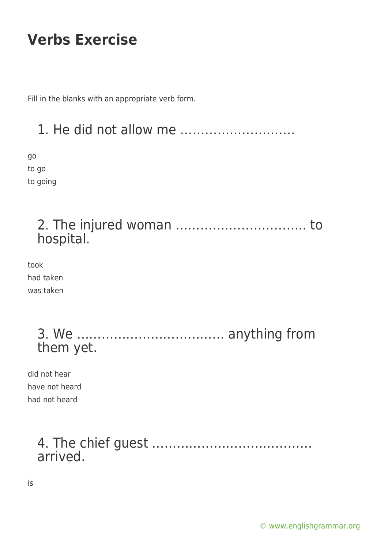Fill in the blanks with an appropriate verb form.

### 1. He did not allow me ……………………….

go to go to going

#### 2. The injured woman ………………………….. to hospital.

took had taken was taken

> 3. We ……………………………… anything from them yet.

did not hear have not heard had not heard

#### 4. The chief guest ………………………………… arrived.

is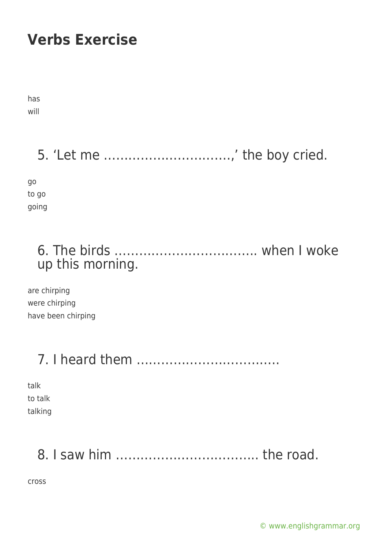has will

5. 'Let me ………………………….,' the boy cried.

go to go going

#### 6. The birds …………………………….. when I woke up this morning.

are chirping were chirping have been chirping

## 7. I heard them ……………………………..

talk to talk talking

# 8. I saw him …………………………….. the road.

cross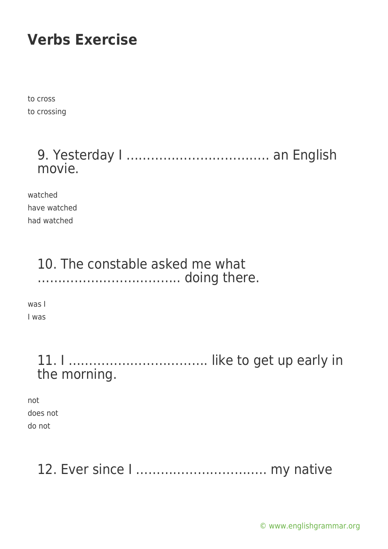to cross to crossing

#### 9. Yesterday I …………………………….. an English movie.

watched have watched had watched

#### 10. The constable asked me what …………………………….. doing there.

was I I was

#### 11. I ……………………………. like to get up early in the morning.

not does not do not

## 12. Ever since I ………………………….. my native